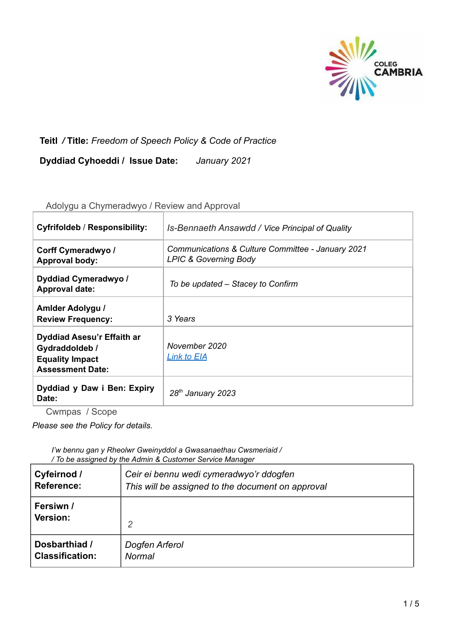

# **Teitl** */* **Title:** *Freedom of Speech Policy & Code of Practice*

**Dyddiad Cyhoeddi / Issue Date:** *January 2021*

| <b>Cyfrifoldeb / Responsibility:</b>                                                              | Is-Bennaeth Ansawdd / Vice Principal of Quality                                       |
|---------------------------------------------------------------------------------------------------|---------------------------------------------------------------------------------------|
| Corff Cymeradwyo /<br><b>Approval body:</b>                                                       | Communications & Culture Committee - January 2021<br><b>LPIC &amp; Governing Body</b> |
| Dyddiad Cymeradwyo /<br><b>Approval date:</b>                                                     | To be updated – Stacey to Confirm                                                     |
| Amlder Adolygu /<br><b>Review Frequency:</b>                                                      | 3 Years                                                                               |
| Dyddiad Asesu'r Effaith ar<br>Gydraddoldeb /<br><b>Equality Impact</b><br><b>Assessment Date:</b> | November 2020<br><u>Link to EIA</u>                                                   |
| Dyddiad y Daw i Ben: Expiry<br>Date:                                                              | 28 <sup>th</sup> January 2023                                                         |

Adolygu a Chymeradwyo / Review and Approval

Cwmpas / Scope

*Please see the Policy for details.*

*I'w bennu gan y Rheolwr Gweinyddol a Gwasanaethau Cwsmeriaid / / To be assigned by the Admin & Customer Service Manager*

| Cyfeirnod /            | Ceir ei bennu wedi cymeradwyo'r ddogfen           |
|------------------------|---------------------------------------------------|
| <b>Reference:</b>      | This will be assigned to the document on approval |
| Fersiwn /<br>Version:  | $\overline{2}$                                    |
| Dosbarthiad /          | Dogfen Arferol                                    |
| <b>Classification:</b> | <b>Normal</b>                                     |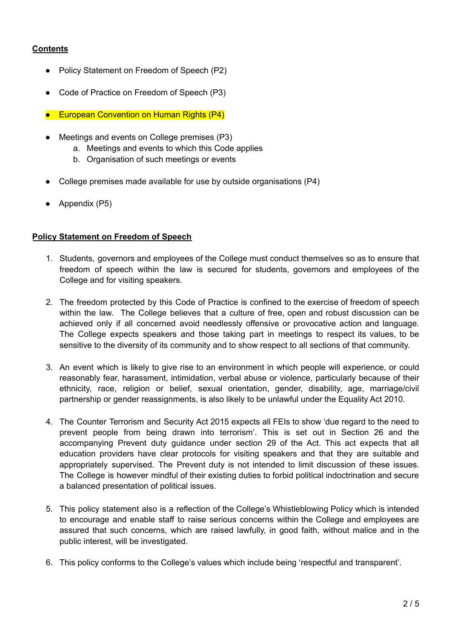## **Contents**

- Policy Statement on Freedom of Speech (P2)
- Code of Practice on Freedom of Speech (P3)
- European Convention on Human Rights (P4)
- Meetings and events on College premises (P3)
	- a. Meetings and events to which this Code applies
	- b. Organisation of such meetings or events
- College premises made available for use by outside organisations (P4)
- Appendix (P5)

## **Policy Statement on Freedom of Speech**

- 1. Students, governors and employees of the College must conduct themselves so as to ensure that freedom of speech within the law is secured for students, governors and employees of the College and for visiting speakers.
- 2. The freedom protected by this Code of Practice is confined to the exercise of freedom of speech within the law. The College believes that a culture of free, open and robust discussion can be achieved only if all concerned avoid needlessly offensive or provocative action and language. The College expects speakers and those taking part in meetings to respect its values, to be sensitive to the diversity of its community and to show respect to all sections of that community.
- 3. An event which is likely to give rise to an environment in which people will experience, or could reasonably fear, harassment, intimidation, verbal abuse or violence, particularly because of their ethnicity, race, religion or belief, sexual orientation, gender, disability, age, marriage/civil partnership or gender reassignments, is also likely to be unlawful under the Equality Act 2010.
- 4. The Counter Terrorism and Security Act 2015 expects all FEIs to show 'due regard to the need to prevent people from being drawn into terrorism'. This is set out in Section 26 and the accompanying Prevent duty guidance under section 29 of the Act. This act expects that all education providers have clear protocols for visiting speakers and that they are suitable and appropriately supervised. The Prevent duty is not intended to limit discussion of these issues. The College is however mindful of their existing duties to forbid political indoctrination and secure a balanced presentation of political issues.
- 5. This policy statement also is a reflection of the College's Whistleblowing Policy which is intended to encourage and enable staff to raise serious concerns within the College and employees are assured that such concerns, which are raised lawfully, in good faith, without malice and in the public interest, will be investigated.
- 6. This policy conforms to the College's values which include being 'respectful and transparent'.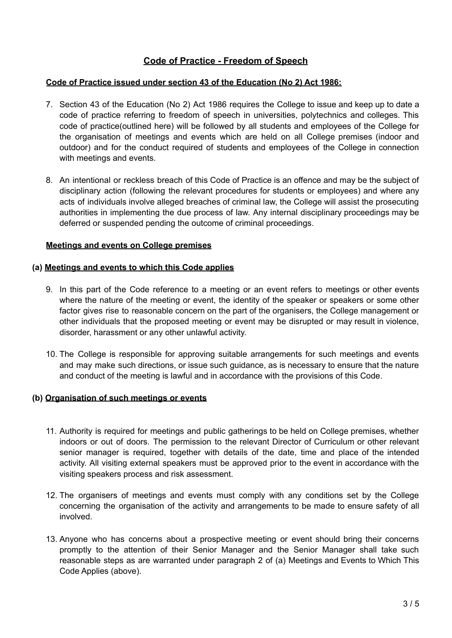## **Code of Practice - Freedom of Speech**

## **Code of Practice issued under section 43 of the Education (No 2) Act 1986:**

- 7. Section 43 of the Education (No 2) Act 1986 requires the College to issue and keep up to date a code of practice referring to freedom of speech in universities, polytechnics and colleges. This code of practice(outlined here) will be followed by all students and employees of the College for the organisation of meetings and events which are held on all College premises (indoor and outdoor) and for the conduct required of students and employees of the College in connection with meetings and events.
- 8. An intentional or reckless breach of this Code of Practice is an offence and may be the subject of disciplinary action (following the relevant procedures for students or employees) and where any acts of individuals involve alleged breaches of criminal law, the College will assist the prosecuting authorities in implementing the due process of law. Any internal disciplinary proceedings may be deferred or suspended pending the outcome of criminal proceedings.

#### **Meetings and events on College premises**

#### **(a) Meetings and events to which this Code applies**

- 9. In this part of the Code reference to a meeting or an event refers to meetings or other events where the nature of the meeting or event, the identity of the speaker or speakers or some other factor gives rise to reasonable concern on the part of the organisers, the College management or other individuals that the proposed meeting or event may be disrupted or may result in violence, disorder, harassment or any other unlawful activity.
- 10. The College is responsible for approving suitable arrangements for such meetings and events and may make such directions, or issue such guidance, as is necessary to ensure that the nature and conduct of the meeting is lawful and in accordance with the provisions of this Code.

#### **(b) Organisation of such meetings or events**

- 11. Authority is required for meetings and public gatherings to be held on College premises, whether indoors or out of doors. The permission to the relevant Director of Curriculum or other relevant senior manager is required, together with details of the date, time and place of the intended activity. All visiting external speakers must be approved prior to the event in accordance with the visiting speakers process and risk assessment.
- 12. The organisers of meetings and events must comply with any conditions set by the College concerning the organisation of the activity and arrangements to be made to ensure safety of all involved.
- 13. Anyone who has concerns about a prospective meeting or event should bring their concerns promptly to the attention of their Senior Manager and the Senior Manager shall take such reasonable steps as are warranted under paragraph 2 of (a) Meetings and Events to Which This Code Applies (above).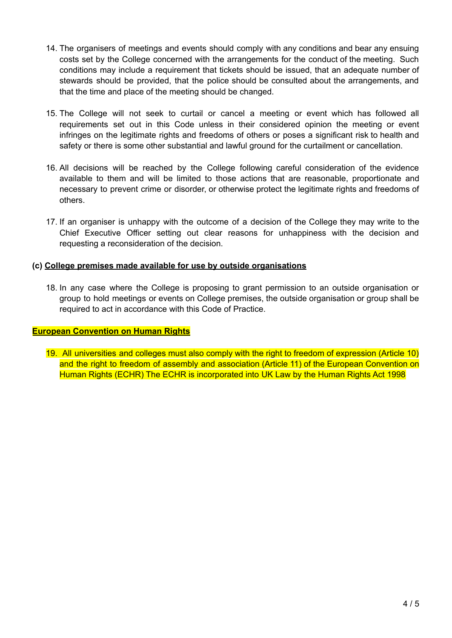- 14. The organisers of meetings and events should comply with any conditions and bear any ensuing costs set by the College concerned with the arrangements for the conduct of the meeting. Such conditions may include a requirement that tickets should be issued, that an adequate number of stewards should be provided, that the police should be consulted about the arrangements, and that the time and place of the meeting should be changed.
- 15. The College will not seek to curtail or cancel a meeting or event which has followed all requirements set out in this Code unless in their considered opinion the meeting or event infringes on the legitimate rights and freedoms of others or poses a significant risk to health and safety or there is some other substantial and lawful ground for the curtailment or cancellation.
- 16. All decisions will be reached by the College following careful consideration of the evidence available to them and will be limited to those actions that are reasonable, proportionate and necessary to prevent crime or disorder, or otherwise protect the legitimate rights and freedoms of others.
- 17. If an organiser is unhappy with the outcome of a decision of the College they may write to the Chief Executive Officer setting out clear reasons for unhappiness with the decision and requesting a reconsideration of the decision.

## **(c) College premises made available for use by outside organisations**

18. In any case where the College is proposing to grant permission to an outside organisation or group to hold meetings or events on College premises, the outside organisation or group shall be required to act in accordance with this Code of Practice.

#### **European Convention on Human Rights**

19. All universities and colleges must also comply with the right to freedom of expression (Article 10) and the right to freedom of assembly and association (Article 11) of the European Convention on Human Rights (ECHR) The ECHR is incorporated into UK Law by the Human Rights Act 1998